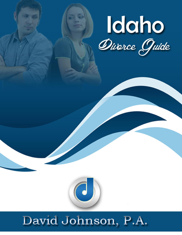

# David Johnson, P.A.

 $\left(\begin{array}{c} \bullet \end{array}\right)$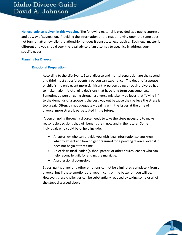**No legal advice is given in this website.** The following material is provided as a public courtesy and by way of suggestion. Providing the information or the reader relying upon the same does not form an attorney- client relationship nor does it constitute legal advice. Each legal matter is different and you should seek the legal advice of an attorney to specifically address your specific needs.

#### **Planning for Divorce**

## **Emotional Preparation.**

According to the Life Events Scale, divorce and marital separation are the second and third most stressful events a person can experience. The death of a spouse or child is the only event more significant. A person going through a divorce has to make major life-changing decisions that have long term consequences. Sometimes a person going through a divorce mistakenly believes that "giving in" to the demands of a spouse is the best way out because they believe the stress is too great. Often, by not adequately dealing with the issues at the time of divorce, more stress is perpetuated in the future.

A person going through a divorce needs to take the steps necessary to make reasonable decisions that will benefit them now and in the future. Some individuals who could be of help include:

- An attorney who can provide you with legal information so you know what to expect and how to get organized for a pending divorce, even if it does not begin at that time.
- An ecclesiastical leader (bishop, pastor, or other church leader) who can help reconcile guilt for ending the marriage.
- A professional counselor.

Stress, guilty, anger and other emotions cannot be eliminated completely from a divorce, but if these emotions are kept in control, the better off you will be. However, these challenges can be substantially reduced by taking some or all of the steps discussed above.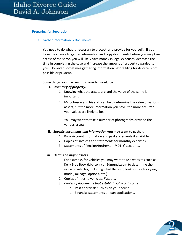## **Preparing for Separation.**

a. Gather information & Documents.

You need to do what is necessary to protect and provide for yourself. If you have the chance to gather information and copy documents before you may lose access of the same, you will likely save money in legal expenses, decrease the time in completing the case and increase the amount of property awarded to you. However, sometimes gathering information before filing for divorce is not possible or prudent.

Some things you may want to consider would be:

- **i.** *Inventory of property.*
	- 1. Knowing what the assets are and the value of the same is important.
	- 2. Mr. Johnson and his staff can help determine the value of various assets, but the more information you have, the more accurate your values are likely to be.
	- 3. You may want to take a number of photographs or video the various assets.
- **ii.** *Specific documents and information* **you may want to gather.**
	- 1. Bank Account information and past statements if available.
	- 2. Copies of invoices and statements for monthly expenses.
	- 3. Statements of Pension/Retirement/401(k) accounts.

# **iii.** *Details on major assets***.**

- 1. For example, for vehicles you may want to use websites such as Kelly Blue Book (kbb.com) or Edmunds.com to determine the value of vehicles, including what things to look for (such as year, model, mileage, options, etc.)
- 2. Copies of titles to vehicles, RVs, etc.
- 3. *Copies of documents that establish value or income.*
	- a. Past appraisals such as on your house.
	- b. Financial statements or loan applications.

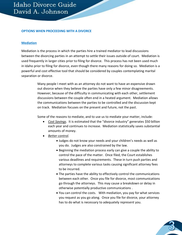#### **OPTIONS WHEN PROCEEDING WITH A DIVORCE**

#### **Mediation**

Mediation is the process in which the parties hire a trained mediator to lead discussions between the divorcing parties in an attempt to settle their issues outside of court. Mediation is used frequently in larger cities prior to filing for divorce. This process has not been used much in Idaho prior to filing for divorce, even though there many reasons for doing so. Mediation is a powerful and cost effective tool that should be considered by couples contemplating marital separation or divorce.

> Many people I meet with as an attorney do not want to have an expensive drawn out divorce when they believe the parties have only a few minor disagreements. However, because of the difficulty in communicating with each other, settlement discussions between the couple often end in a heated argument. Mediation allows the communications between the parties to be controlled and the discussion kept on track. Mediation focuses on the present and future, not the past.

Some of the reasons to mediate, and to use us to mediate your matter, include:

- *Cost Savings*. It is estimated that the "divorce industry" generates \$50 billion each year and continues to increase. Mediation statistically saves substantial amounts of money.
- *Better control.*
	- Judges do not know your needs and your children's needs as well as you do. Judges are also constrained by the law.
	- Beginning the mediation process early can give a couple the ability to control the pace of the matter. Once filed, the Court establishes various deadlines and requirements. These in turn push parties and attorneys to complete various tasks causing significant attorney fees to be incurred.
	- The parties have the ability to effectively control the communications between each other. Once you file for divorce, most communications go through the attorneys. This may cause a breakdown or delay in otherwise potentially productive communications .
	- You can control the costs. With mediation, you pay for what services you request as you go along. Once you file for divorce, your attorney has to do what is necessary to adequately represent you.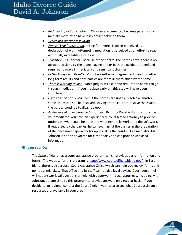- *Reduces impact on children.* Children are benefited because parents who mediate more often have less conflict between them.
- *Typically a quicker resolution.*
- *Avoids "War" perception.* Filing for divorce is often perceived as a declaration of war. Attempting mediation is perceived as an effort to reach a mutually agreeable resolution.
- *Transition is smoother.* Because of the control the parties have, there is no abrupt decisions by the judge leaving one or both the parties stunned and required to make immediately and significant changes.
- *Better Long Term Results.* Voluntary settlement agreements lead to better long term results and both parties are more likely to abide by the same.
- *There is Nothing to lose!* Most judges in East Idaho require the parties to go through mediation. If you mediate early on, this step will have been completed.
- *Issues can be narrowed.* Even if the parties are unable resolve all matters, some issues can still be resolved, leaving to the court to resolve the issues the parties continue to disagree upon.
- *Assistance of an experienced attorney.* By using David A. Johnson to act as your mediator, you have an experienced, court tested attorney to provide options on what could be done and what generally works and doesn't work. If requested by the parties, he can even assist the parties in the preparation of the necessary paperwork for approval by the courts. As a mediator, Mr. Johnson is not an advocate for either party and can provide unbiased information.

# **Filing on Your Own**

The State of Idaho has a court assistance program, which provides basic information and forms. The website for this program is<http://www.courtselfhelp.idaho.gov/> In East Idaho, there is also a Local Court Assistance Office which can help you review forms and point out mistakes. That office and its staff cannot give legal advice. Court personnel will not answer legal questions or help with paperwork. Local attorneys, including Mr. Johnson, donate time to this program to provide answers on a regular basis. If you decide to go it alone, contact the Court Clerk in your area to see what Court assistance resources are available in your area.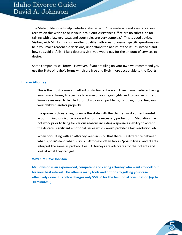The State of Idaho self-help website states in part: "The materials and assistance you receive on this web site or in your local Court Assistance Office are no substitute for talking with a lawyer. Laws and court rules are very complex." This is good advice. Visiting with Mr. Johnson or another qualified attorney to answer specific questions can help you make reasonable decisions, understand the nature of the issues involved and how to avoid pitfalls. Like a doctor's visit, you would pay for the amount of services to desire.

Some companies sell forms. However, if you are filing on your own we recommend you use the State of Idaho's forms which are free and likely more acceptable to the Courts.

## **Hire an Attorney**

This is the most common method of starting a divorce. Even if you mediate, having your own attorney to specifically advise of your legal rights and to counsel is useful. Some cases need to be filed promptly to avoid problems, including protecting you, your children and/or property.

If a spouse is threatening to leave the state with the children or do other harmful actions, filing for divorce is essential for the necessary protection. Mediation may not work prior to filing for various reasons including a spouse's inability to accept the divorce, significant emotional issues which would prohibit a fair resolution, etc.

When consulting with an attorney keep in mind that there is a difference between what is *possible*and what is *likely*. Attorneys often talk in "possibilities" and clients interpret the same as probabilities. Attorneys are advocates for their clients and look at what they can get.

#### **Why hire Dave Johnson**

**Mr. Johnson is an experienced, competent and caring attorney who wants to look out for your best interest. He offers a many tools and options to getting your case effectively done. His office charges only \$50.00 for the first initial consultation (up to 30 minutes. )**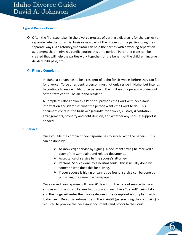#### **Typical Divorce Case:**

 $\clubsuit$  Often the first step taken in the divorce process of getting a divorce is for the parties to separate, whether on a trial basis or as a part of the process of the parties going their separate ways. An attorney/mediator can help the parties with a working separation agreement that minimizes conflict during this time period. Parenting plans can be created that will help the parties work together for the benefit of the children, income divided, bills paid, etc.

# **Filing a Complaint**

In Idaho, a person has to be a resident of Idaho for six weeks before they can file for divorce. To be a resident, a person must not only reside in Idaho, but intends to continue to reside in Idaho. A person in the military or a person working out of the state can still be an Idaho resident

A Complaint (also known as a Petition) provides the Court with necessary information and identities what the person wants the Court to do. This document contains the basis or "grounds" for divorce, custody & visitation arrangements, property and debt division, and whether any spousal support is needed.

# **Service**

Once you file the complaint, your spouse has to served with the papers. This can be done by:

- $\triangleright$  Acknowledge service by signing a document saying he received a copy of the Complaint and related documents.
- $\triangleright$  Acceptance of service by the spouse's attorney.
- $\triangleright$  Personal Service done by a neutral adult. This is usually done by someone who does this for a living.
- $\triangleright$  If your spouse is hiding or cannot be found, service can be done by publishing the same in a newspaper.

Once served, your spouse will have 20 days from the date of service to file an answer with the court. Failure to do so would result in a "default" being taken and the judge will enter the divorce decree if the Complaint is compliant with Idaho Law. Default is automatic and the Plaintiff (person filing the complaint) is required to provide the necessary documents and proofs to the Court.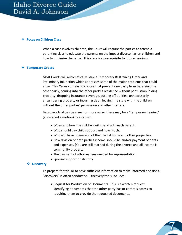#### **Focus on Children Class**

When a case involves children, the Court will require the parties to attend a parenting class to educate the parents on the impact divorce has on children and how to minimize the same. This class is a prerequisite to future hearings.

# **Temporary Orders**

Most Courts will automatically issue a Temporary Restraining Order and Preliminary Injunction which addresses some of the major problems that could arise. This Order contain provisions that prevent one party from harassing the other party, coming into the other party's residence without permission, hiding property, dropping insurance coverage, cutting off utilities, unnecessarily encumbering property or incurring debt, leaving the state with the children without the other parties' permission and other matters.

Because a trial can be a year or more away, there may be a "temporary hearing" (also called a motion) to establish:

- When and how the children will spend with each parent.
- Who should pay child support and how much.
- Who will have possession of the marital home and other properties.
- How division of both parties income should be and/or payment of debts and expenses. (You are still married during the divorce and all income is community property)
- The payment of attorney fees needed for representation.
- Spousal support or alimony

#### **Discovery**

To prepare for trial or to have sufficient information to make informed decisions, "discovery" is often conducted. Discovery tools includes:

• Request for Production of Documents. This is a written request identifying documents that the other party has or controls access to requiring them to provide the requested documents.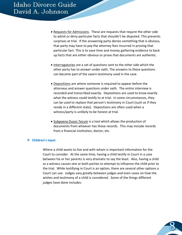- Requests for Admissions. These are requests that require the other side to admit or deny particular facts that shouldn't be disputed. This prevents surprises at trial. If the answering party denies something that is obvious, that party may have to pay the attorney fees incurred in proving that particular fact. This is to save time and money gathering evidence to back up facts that are either obvious or prove that documents are authentic.
- Interrogatories are a set of questions sent to the other side which the other party has to answer under oath. The answers to these questions can become part of the sworn testimony used in the case.
- Depositions are where someone is required to appear before the attorneys and answer questions under oath. The entire interview is recorded and transcribed exactly. Depositions are used to know exactly what the witness could testify to at trial. In some circumstances, they can be used to replace that person's testimony in Court (such as if they reside in a different state). Depositions are often used when a witness/party is unlikely to be honest at trial.
- Subpoena Duces Tecum is a tool which allows the production of documents from whoever has those records. This may include records from a financial institution, doctor, etc.

# **Children's input**

Where a child wants to live and with whom is important information for the Court to consider. At the same time, having a child testify in Court in a case between his or her parents is very dramatic to say the least. Also, having a child as a witness causes one or both parties to attempt to influence the child prior to the trial. While testifying in Court is an option, there are several other options a Court can use. Judges vary greatly between judges and even cases on how the wishes and testimony of a child is considered. Some of the things different judges have done includes: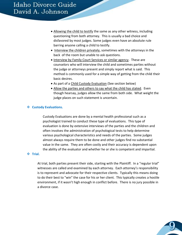- Allowing the child to testify the same as any other witness, including questioning from both attorney. This is usually a bad choice and disfavored by most judges. Some judges even have an absolute rule barring anyone calling a child to testify.
- Interview the children privately, sometimes with the attorneys in the back of the room but unable to ask questions.
- Interview by Family Court Services or similar agency. These are counselors who will interview the child and sometimes parties without the judge or attorneys present and simply report what is said. This method is commonly used for a simple way of getting from the child their basic desires.
- As part of a Child Custody Evaluation (See section below)
- Allow the parties and others to say what the child has stated. Even though hearsay, judges allow the same from both side. What weight the judge places on such statement is uncertain.

#### **Custody Evaluations.**

Custody Evaluations are done by a mental health professional such as a psychologist trained to conduct these type of evaluations. This type of evaluation is done by extensive interviews of the parties and the children and often involves the administration of psychological tests to help determine various psychological characteristics and needs of the parties. Some judges almost always require them to be done and other judges find no substantial value in the same. They are often costly and their accuracy is dependent upon the ability of the evaluator and whether he or she is competent and impartial.

#### **Trial.**

At trial, both parties present their side, starting with the Plaintiff. In a "regular trial" witnesses are called and examined by each attorney. Each attorney's responsibility is to represent and advocate for their respective clients. Typically this means doing to do their best to "win" the case for his or her client. This typically creates a hostile environment, if it wasn't high enough in conflict before. There is no jury possible in a divorce case.